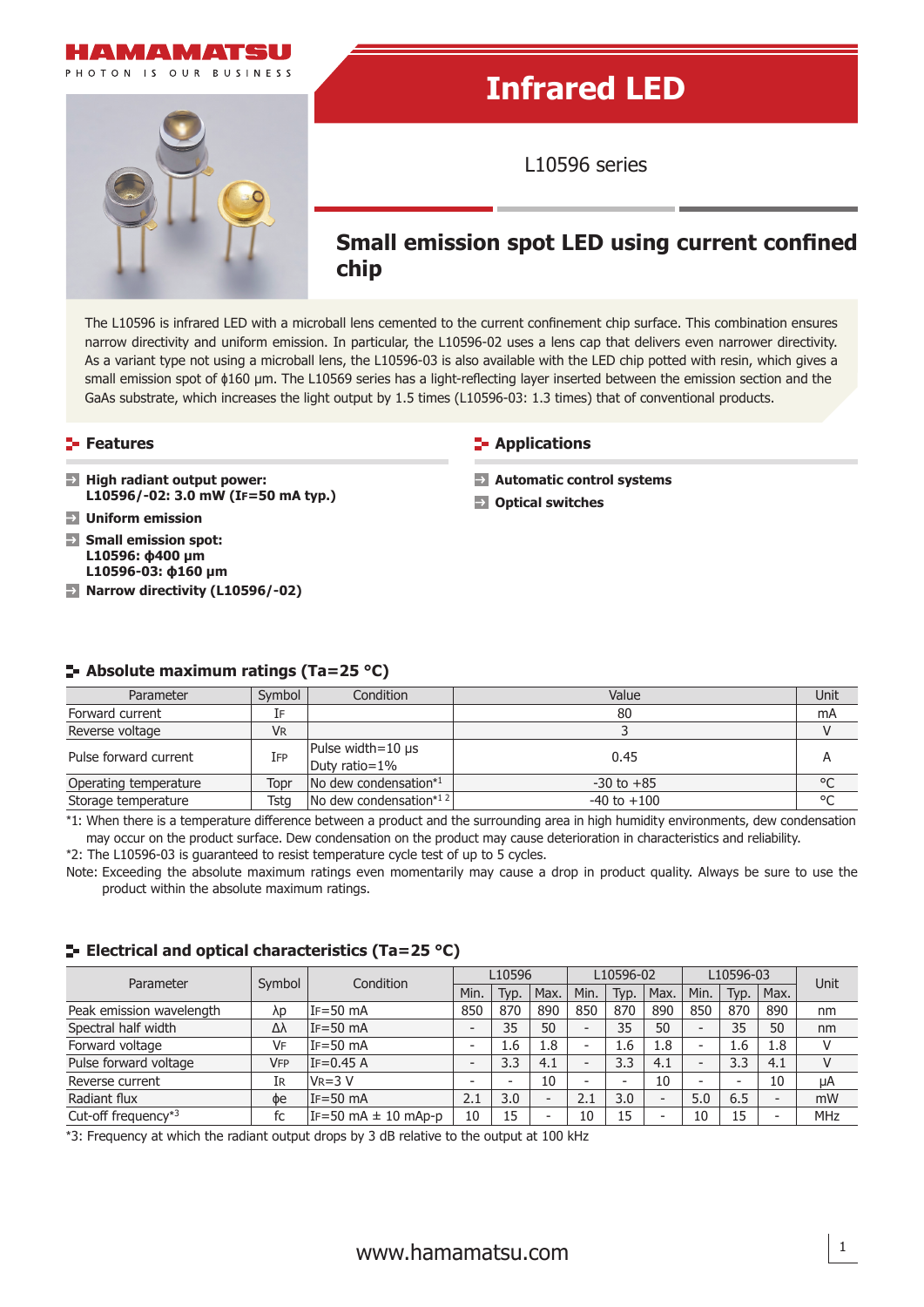



## **Infrared LED**

L10596 series

### **Small emission spot LED using current confined chip**

The L10596 is infrared LED with a microball lens cemented to the current confinement chip surface. This combination ensures narrow directivity and uniform emission. In particular, the L10596-02 uses a lens cap that delivers even narrower directivity. As a variant type not using a microball lens, the L10596-03 is also available with the LED chip potted with resin, which gives a small emission spot of  $\phi$ 160 µm. The L10569 series has a light-reflecting layer inserted between the emission section and the GaAs substrate, which increases the light output by 1.5 times (L10596-03: 1.3 times) that of conventional products.

#### **Features**

- **High radiant output power: L10596/-02: 3.0 mW (IF=50 mA typ.)**
- **Uniform emission**
- **Small emission spot: L10596: ϕ400 μm L10596-03: ϕ160 μm**
- **Narrow directivity (L10596/-02)**

#### **E**-Applications

- **Automatic control systems**
- **Optical switches**

| Parameter             | Symbol | Condition                                | Value          | Unit    |
|-----------------------|--------|------------------------------------------|----------------|---------|
| Forward current       |        |                                          | 80             | mA      |
| Reverse voltage       | VR     |                                          |                | v       |
| Pulse forward current | IFP    | Pulse width= $10 \mu s$<br>Duty ratio=1% | 0.45           | A       |
| Operating temperature | Topr   | No dew condensation*1                    | $-30$ to $+85$ | $\circ$ |

#### **Absolute maximum ratings (Ta=25 °C)**

\*1: When there is a temperature difference between a product and the surrounding area in high humidity environments, dew condensation may occur on the product surface. Dew condensation on the product may cause deterioration in characteristics and reliability.

Storage temperature Tstg No dew condensation\*<sup>12</sup> -40 to +100 -40 to +100 <sup>o</sup>C

\*2: The L10596-03 is guaranteed to resist temperature cycle test of up to 5 cycles.

Note: Exceeding the absolute maximum ratings even momentarily may cause a drop in product quality. Always be sure to use the product within the absolute maximum ratings.

#### **E-** Electrical and optical characteristics (Ta=25 °C)

| Parameter                                    | Symbol | Condition                 | L10596                   |      |                          | L10596-02                |      |                          | L10596-03                |           |                          | Unit |
|----------------------------------------------|--------|---------------------------|--------------------------|------|--------------------------|--------------------------|------|--------------------------|--------------------------|-----------|--------------------------|------|
|                                              |        |                           | Min.                     | Typ. | Max.                     | Min.                     | Typ. | 'Max.                    | Min.                     | Typ.      | Max.                     |      |
| Peak emission wavelength                     | λp     | $IF = 50 mA$              | 850                      | 870  | 890                      | 850                      | 870  | 890                      | 850                      | 870       | 890                      | nm   |
| Spectral half width                          | Δλ     | $IF = 50 mA$              | $\overline{\phantom{0}}$ | 35   | 50                       | $\overline{\phantom{0}}$ | 35   | 50                       | $\overline{\phantom{0}}$ | 35        | 50                       | nm   |
| Forward voltage                              | VF     | $IF = 50 mA$              | $\overline{\phantom{0}}$ | 1.6  | 1.8                      | -                        | 1.6  | 1.8                      | ۰                        | 1.6       | 1.8                      | V    |
| Pulse forward voltage                        | VFP    | $IF=0.45 A$               | $\overline{\phantom{0}}$ | 3.3  | 4.1                      |                          | 3.3  | 4.1                      | $\overline{\phantom{0}}$ | 3.3       | 4.1                      | V    |
| Reverse current                              | ΙR     | $VR=3V$                   | $\overline{\phantom{0}}$ | -    | 10                       | $\overline{\phantom{0}}$ |      | 10                       | $\overline{\phantom{a}}$ | <b>11</b> | 10                       | μA   |
| Radiant flux                                 | Фe     | $IF = 50 mA$              | 2.1                      | 3.0  | $\overline{\phantom{0}}$ | 2.1                      | 3.0  | $\overline{\phantom{0}}$ | 5.0                      | 6.5       | $\overline{\phantom{0}}$ | mW   |
| Cut-off frequency <sup><math>*3</math></sup> | fc     | $IF=50$ mA $\pm$ 10 mAp-p | 10                       | 15   |                          | 10                       | 15   | $\overline{\phantom{0}}$ | 10                       | 15        |                          | MHz  |

\*3: Frequency at which the radiant output drops by 3 dB relative to the output at 100 kHz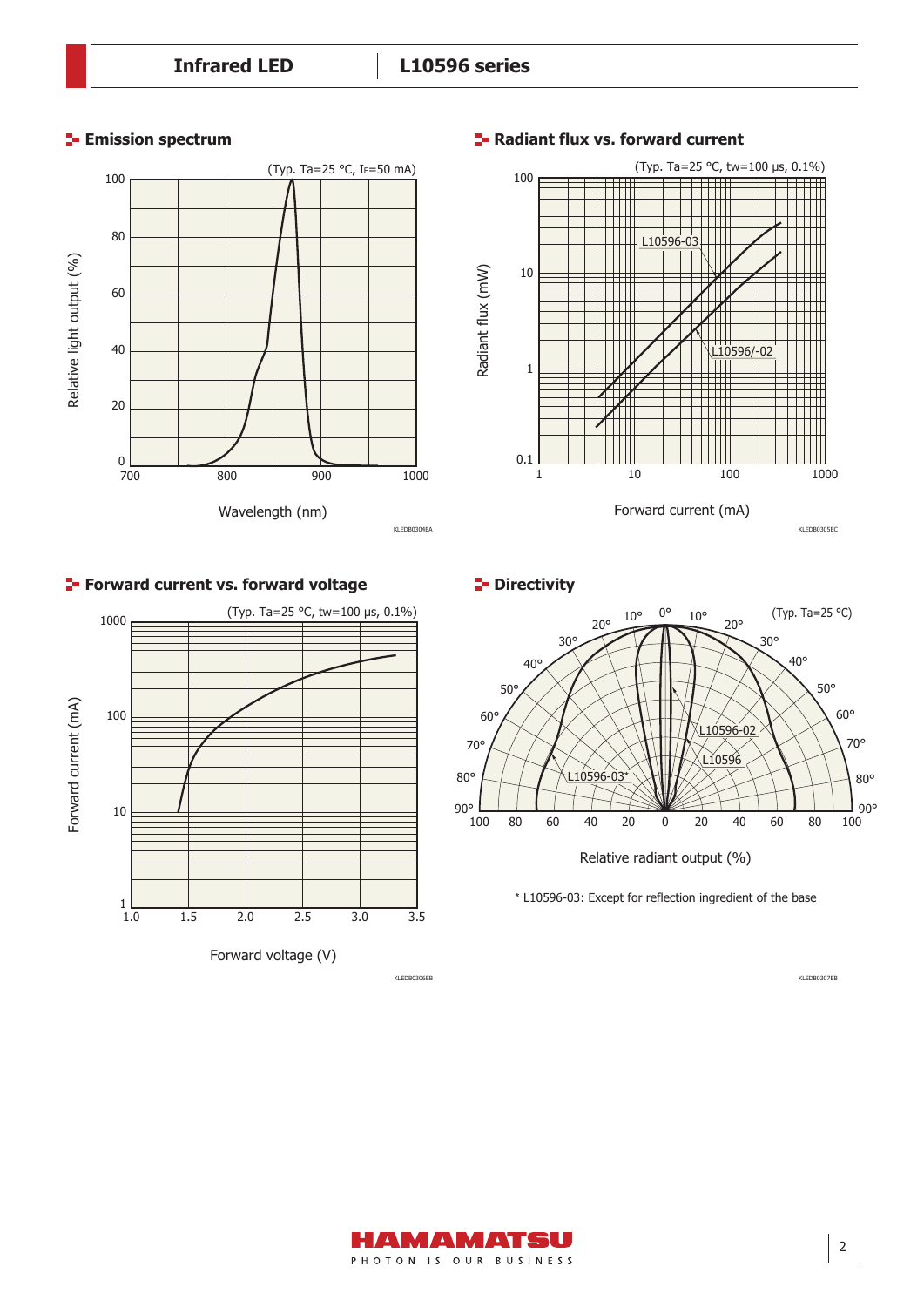

#### **Radiant flux vs. forward current**



**P**Directivity



\* L10596-03: Except for reflection ingredient of the base

KLEDB0307EB

# (Typ. Ta=25 °C, tw=100 µs, 0.1%) 1000 Forward current (mA) Forward current (mA) 100 10  $1 \over 1.0$ 1.0 1.5 2.0 2.5 3.0 3.5 Forward voltage (V)

**Forward current vs. forward voltage**

KLEDB0306EB

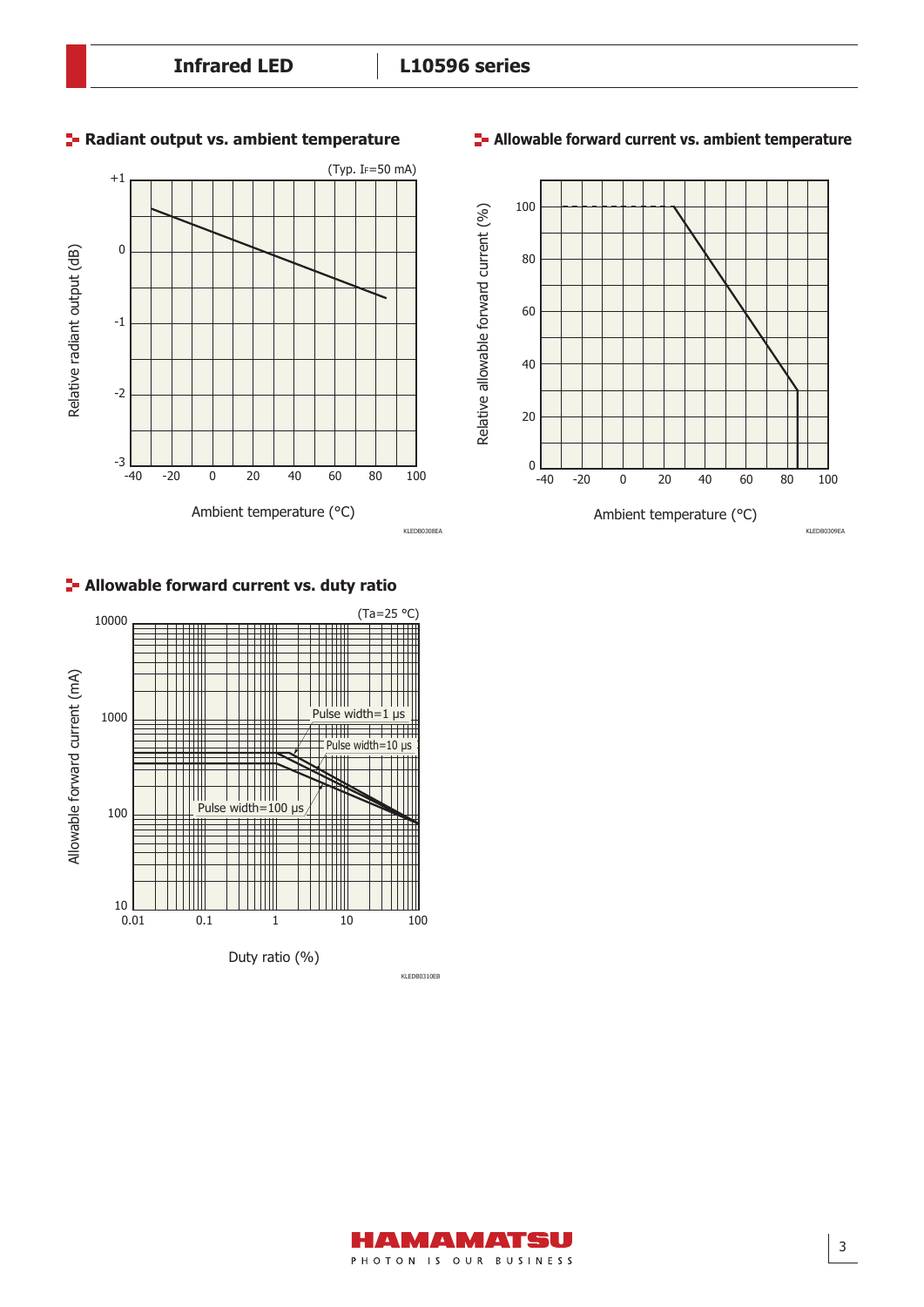

#### **Allowable forward current vs. duty ratio**



#### **Radiant output vs. ambient temperature Allowable forward current vs. ambient temperature**